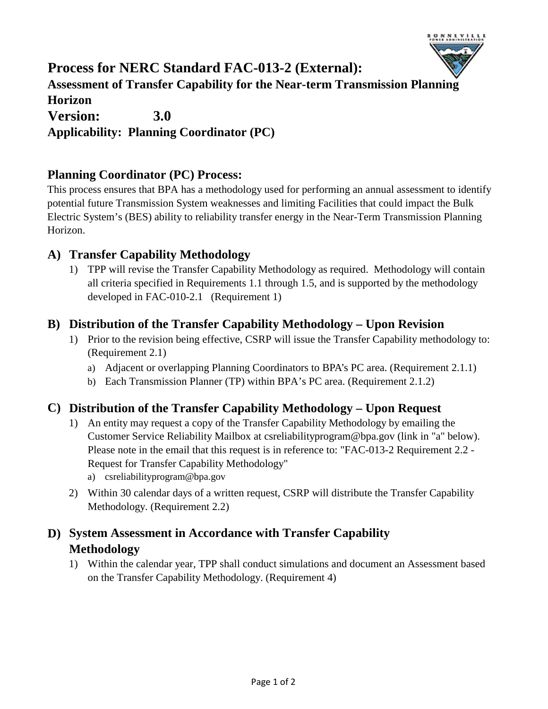

# **Version: 3.0 Process for NERC Standard FAC-013-2 (External): Assessment of Transfer Capability for the Near-term Transmission Planning Horizon Applicability: Planning Coordinator (PC)**

# **Planning Coordinator (PC) Process:**

This process ensures that BPA has a methodology used for performing an annual assessment to identify potential future Transmission System weaknesses and limiting Facilities that could impact the Bulk Electric System's (BES) ability to reliability transfer energy in the Near-Term Transmission Planning Horizon.

#### **A) Transfer Capability Methodology**

1) TPP will revise the Transfer Capability Methodology as required. Methodology will contain all criteria specified in Requirements 1.1 through 1.5, and is supported by the methodology developed in FAC-010-2.1 (Requirement 1)

#### **B) Distribution of the Transfer Capability Methodology – Upon Revision**

- 1) Prior to the revision being effective, CSRP will issue the Transfer Capability methodology to: (Requirement 2.1)
	- a) Adjacent or overlapping Planning Coordinators to BPA's PC area. (Requirement 2.1.1)
	- b) Each Transmission Planner (TP) within BPA's PC area. (Requirement 2.1.2)

### **C) Distribution of the Transfer Capability Methodology – Upon Request**

- 1) An entity may request a copy of the Transfer Capability Methodology by emailing the Customer Service Reliability Mailbox at csreliabilityprogram@bpa.gov (link in "a" below). Please note in the email that this request is in reference to: "FAC-013-2 Requirement 2.2 - Request for Transfer Capability Methodology"
	- a) csreliabilityprogram@bpa.gov
- 2) Within 30 calendar days of a written request, CSRP will distribute the Transfer Capability Methodology. (Requirement 2.2)

## **D) System Assessment in Accordance with Transfer Capability Methodology**

1) Within the calendar year, TPP shall conduct simulations and document an Assessment based on the Transfer Capability Methodology. (Requirement 4)